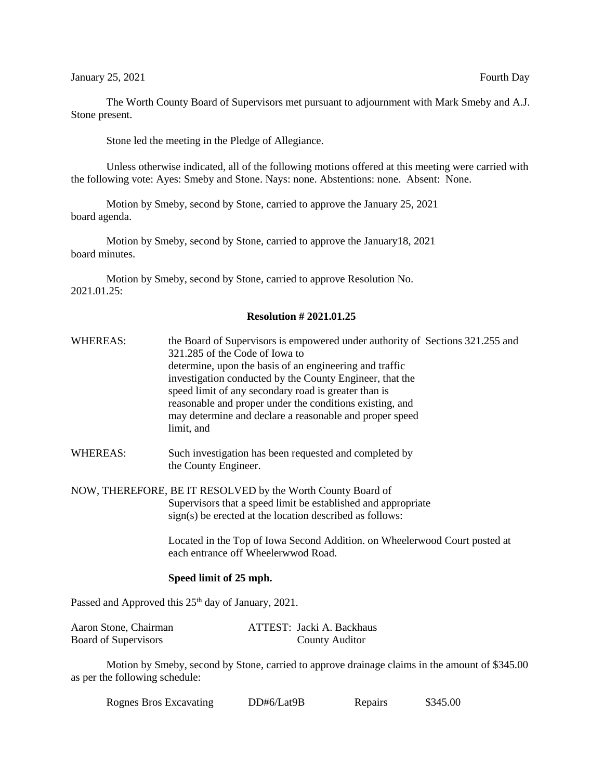January 25, 2021 **Fourth Day** 

The Worth County Board of Supervisors met pursuant to adjournment with Mark Smeby and A.J. Stone present.

Stone led the meeting in the Pledge of Allegiance.

Unless otherwise indicated, all of the following motions offered at this meeting were carried with the following vote: Ayes: Smeby and Stone. Nays: none. Abstentions: none. Absent: None.

Motion by Smeby, second by Stone, carried to approve the January 25, 2021 board agenda.

Motion by Smeby, second by Stone, carried to approve the January18, 2021 board minutes.

Motion by Smeby, second by Stone, carried to approve Resolution No. 2021.01.25:

## **Resolution # 2021.01.25**

- WHEREAS: the Board of Supervisors is empowered under authority of Sections 321.255 and 321.285 of the Code of Iowa to determine, upon the basis of an engineering and traffic investigation conducted by the County Engineer, that the speed limit of any secondary road is greater than is reasonable and proper under the conditions existing, and may determine and declare a reasonable and proper speed limit, and
- WHEREAS: Such investigation has been requested and completed by the County Engineer.

NOW, THEREFORE, BE IT RESOLVED by the Worth County Board of Supervisors that a speed limit be established and appropriate sign(s) be erected at the location described as follows:

> Located in the Top of Iowa Second Addition. on Wheelerwood Court posted at each entrance off Wheelerwwod Road.

## **Speed limit of 25 mph.**

Passed and Approved this  $25<sup>th</sup>$  day of January, 2021.

| Aaron Stone, Chairman       | ATTEST: Jacki A. Backhaus |
|-----------------------------|---------------------------|
| <b>Board of Supervisors</b> | <b>County Auditor</b>     |

Motion by Smeby, second by Stone, carried to approve drainage claims in the amount of \$345.00 as per the following schedule:

| <b>Rognes Bros Excavating</b> | DD#6/Lat9B | Repairs | \$345.00 |
|-------------------------------|------------|---------|----------|
|                               |            |         |          |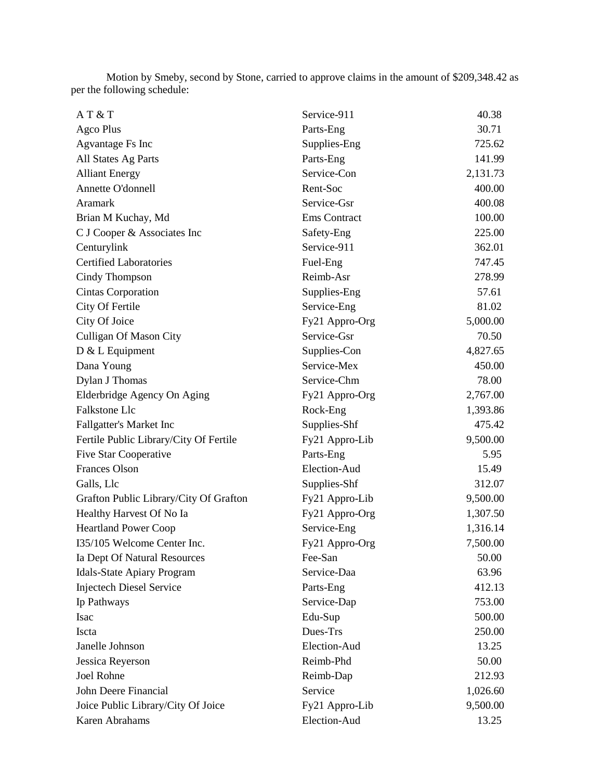Motion by Smeby, second by Stone, carried to approve claims in the amount of \$209,348.42 as per the following schedule:

| AT & T                                 | Service-911    | 40.38    |
|----------------------------------------|----------------|----------|
| Agco Plus                              | Parts-Eng      | 30.71    |
| <b>Agvantage Fs Inc</b>                | Supplies-Eng   | 725.62   |
| All States Ag Parts                    | Parts-Eng      | 141.99   |
| <b>Alliant Energy</b>                  | Service-Con    | 2,131.73 |
| Annette O'donnell                      | Rent-Soc       | 400.00   |
| Aramark                                | Service-Gsr    | 400.08   |
| Brian M Kuchay, Md                     | Ems Contract   | 100.00   |
| C J Cooper & Associates Inc            | Safety-Eng     | 225.00   |
| Centurylink                            | Service-911    | 362.01   |
| <b>Certified Laboratories</b>          | Fuel-Eng       | 747.45   |
| Cindy Thompson                         | Reimb-Asr      | 278.99   |
| <b>Cintas Corporation</b>              | Supplies-Eng   | 57.61    |
| City Of Fertile                        | Service-Eng    | 81.02    |
| City Of Joice                          | Fy21 Appro-Org | 5,000.00 |
| <b>Culligan Of Mason City</b>          | Service-Gsr    | 70.50    |
| D & L Equipment                        | Supplies-Con   | 4,827.65 |
| Dana Young                             | Service-Mex    | 450.00   |
| Dylan J Thomas                         | Service-Chm    | 78.00    |
| Elderbridge Agency On Aging            | Fy21 Appro-Org | 2,767.00 |
| Falkstone Llc                          | Rock-Eng       | 1,393.86 |
| <b>Fallgatter's Market Inc</b>         | Supplies-Shf   | 475.42   |
| Fertile Public Library/City Of Fertile | Fy21 Appro-Lib | 9,500.00 |
| <b>Five Star Cooperative</b>           | Parts-Eng      | 5.95     |
| <b>Frances Olson</b>                   | Election-Aud   | 15.49    |
| Galls, Llc                             | Supplies-Shf   | 312.07   |
| Grafton Public Library/City Of Grafton | Fy21 Appro-Lib | 9,500.00 |
| Healthy Harvest Of No Ia               | Fy21 Appro-Org | 1,307.50 |
| <b>Heartland Power Coop</b>            | Service-Eng    | 1,316.14 |
| I35/105 Welcome Center Inc.            | Fy21 Appro-Org | 7,500.00 |
| Ia Dept Of Natural Resources           | Fee-San        | 50.00    |
| <b>Idals-State Apiary Program</b>      | Service-Daa    | 63.96    |
| <b>Injectech Diesel Service</b>        | Parts-Eng      | 412.13   |
| Ip Pathways                            | Service-Dap    | 753.00   |
| Isac                                   | Edu-Sup        | 500.00   |
| Iscta                                  | Dues-Trs       | 250.00   |
| Janelle Johnson                        | Election-Aud   | 13.25    |
| Jessica Reyerson                       | Reimb-Phd      | 50.00    |
| Joel Rohne                             | Reimb-Dap      | 212.93   |
| John Deere Financial                   | Service        | 1,026.60 |
| Joice Public Library/City Of Joice     | Fy21 Appro-Lib | 9,500.00 |
| Karen Abrahams                         | Election-Aud   | 13.25    |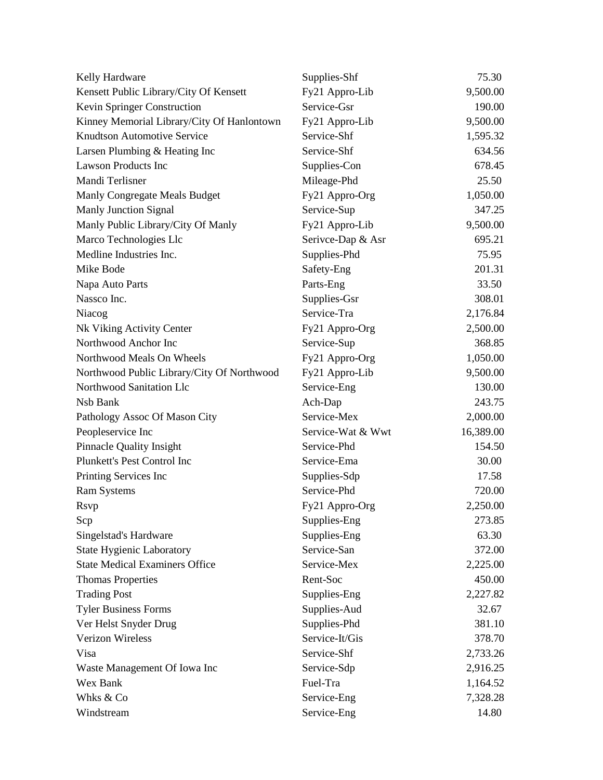| Kelly Hardware                             | Supplies-Shf      | 75.30     |
|--------------------------------------------|-------------------|-----------|
| Kensett Public Library/City Of Kensett     | Fy21 Appro-Lib    | 9,500.00  |
| Kevin Springer Construction                | Service-Gsr       | 190.00    |
| Kinney Memorial Library/City Of Hanlontown | Fy21 Appro-Lib    | 9,500.00  |
| <b>Knudtson Automotive Service</b>         | Service-Shf       | 1,595.32  |
| Larsen Plumbing & Heating Inc              | Service-Shf       | 634.56    |
| <b>Lawson Products Inc</b>                 | Supplies-Con      | 678.45    |
| Mandi Terlisner                            | Mileage-Phd       | 25.50     |
| Manly Congregate Meals Budget              | Fy21 Appro-Org    | 1,050.00  |
| <b>Manly Junction Signal</b>               | Service-Sup       | 347.25    |
| Manly Public Library/City Of Manly         | Fy21 Appro-Lib    | 9,500.00  |
| Marco Technologies Llc                     | Serivce-Dap & Asr | 695.21    |
| Medline Industries Inc.                    | Supplies-Phd      | 75.95     |
| Mike Bode                                  | Safety-Eng        | 201.31    |
| Napa Auto Parts                            | Parts-Eng         | 33.50     |
| Nassco Inc.                                | Supplies-Gsr      | 308.01    |
| Niacog                                     | Service-Tra       | 2,176.84  |
| Nk Viking Activity Center                  | Fy21 Appro-Org    | 2,500.00  |
| Northwood Anchor Inc                       | Service-Sup       | 368.85    |
| Northwood Meals On Wheels                  | Fy21 Appro-Org    | 1,050.00  |
| Northwood Public Library/City Of Northwood | Fy21 Appro-Lib    | 9,500.00  |
| Northwood Sanitation Llc                   | Service-Eng       | 130.00    |
| Nsb Bank                                   | Ach-Dap           | 243.75    |
| Pathology Assoc Of Mason City              | Service-Mex       | 2,000.00  |
| Peopleservice Inc                          | Service-Wat & Wwt | 16,389.00 |
| <b>Pinnacle Quality Insight</b>            | Service-Phd       | 154.50    |
| Plunkett's Pest Control Inc                | Service-Ema       | 30.00     |
| Printing Services Inc                      | Supplies-Sdp      | 17.58     |
| <b>Ram Systems</b>                         | Service-Phd       | 720.00    |
| <b>Rsvp</b>                                | Fy21 Appro-Org    | 2,250.00  |
| Scp                                        | Supplies-Eng      | 273.85    |
| Singelstad's Hardware                      | Supplies-Eng      | 63.30     |
| State Hygienic Laboratory                  | Service-San       | 372.00    |
| <b>State Medical Examiners Office</b>      | Service-Mex       | 2,225.00  |
| <b>Thomas Properties</b>                   | Rent-Soc          | 450.00    |
| <b>Trading Post</b>                        | Supplies-Eng      | 2,227.82  |
| <b>Tyler Business Forms</b>                | Supplies-Aud      | 32.67     |
| Ver Helst Snyder Drug                      | Supplies-Phd      | 381.10    |
| <b>Verizon Wireless</b>                    | Service-It/Gis    | 378.70    |
| Visa                                       | Service-Shf       | 2,733.26  |
| Waste Management Of Iowa Inc               | Service-Sdp       | 2,916.25  |
| Wex Bank                                   | Fuel-Tra          | 1,164.52  |
| Whks & Co                                  | Service-Eng       | 7,328.28  |
| Windstream                                 | Service-Eng       | 14.80     |